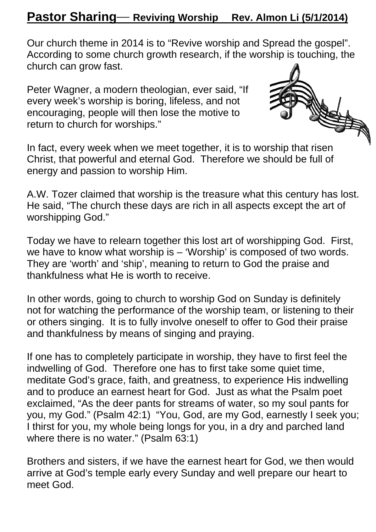## **Pastor Sharing**— Reviving Worship Rev. Almon Li (5/1/2014)

Our church theme in 2014 is to "Revive worship and Spread the gospel". According to some church growth research, if the worship is touching, the church can grow fast.

Peter Wagner, a modern theologian, ever said, "If every week's worship is boring, lifeless, and not encouraging, people will then lose the motive to return to church for worships."



In fact, every week when we meet together, it is to worship that risen Christ, that powerful and eternal God. Therefore we should be full of energy and passion to worship Him.

A.W. Tozer claimed that worship is the treasure what this century has lost. He said, "The church these days are rich in all aspects except the art of worshipping God."

Today we have to relearn together this lost art of worshipping God. First, we have to know what worship is – 'Worship' is composed of two words. They are 'worth' and 'ship', meaning to return to God the praise and thankfulness what He is worth to receive.

In other words, going to church to worship God on Sunday is definitely not for watching the performance of the worship team, or listening to their or others singing. It is to fully involve oneself to offer to God their praise and thankfulness by means of singing and praying.

If one has to completely participate in worship, they have to first feel the indwelling of God. Therefore one has to first take some quiet time, meditate God's grace, faith, and greatness, to experience His indwelling and to produce an earnest heart for God. Just as what the Psalm poet exclaimed, "As the deer pants for streams of water, so my soul pants for you, my God." (Psalm 42:1) "You, God, are my God, earnestly I seek you; I thirst for you, my whole being longs for you, in a dry and parched land where there is no water." (Psalm 63:1)

Brothers and sisters, if we have the earnest heart for God, we then would arrive at God's temple early every Sunday and well prepare our heart to meet God.